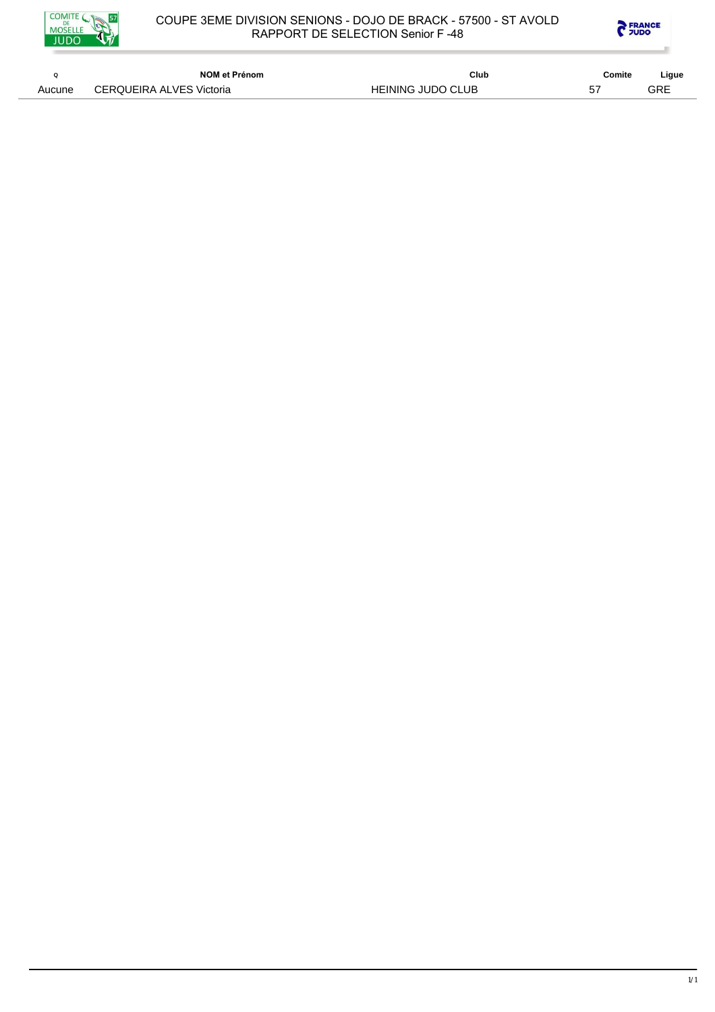



|        | NOM et Prénom            | Club                     | Comite | Ligue |
|--------|--------------------------|--------------------------|--------|-------|
| Aucune | CERQUEIRA ALVES Victoria | <b>HEINING JUDO CLUB</b> | 57     | GRE   |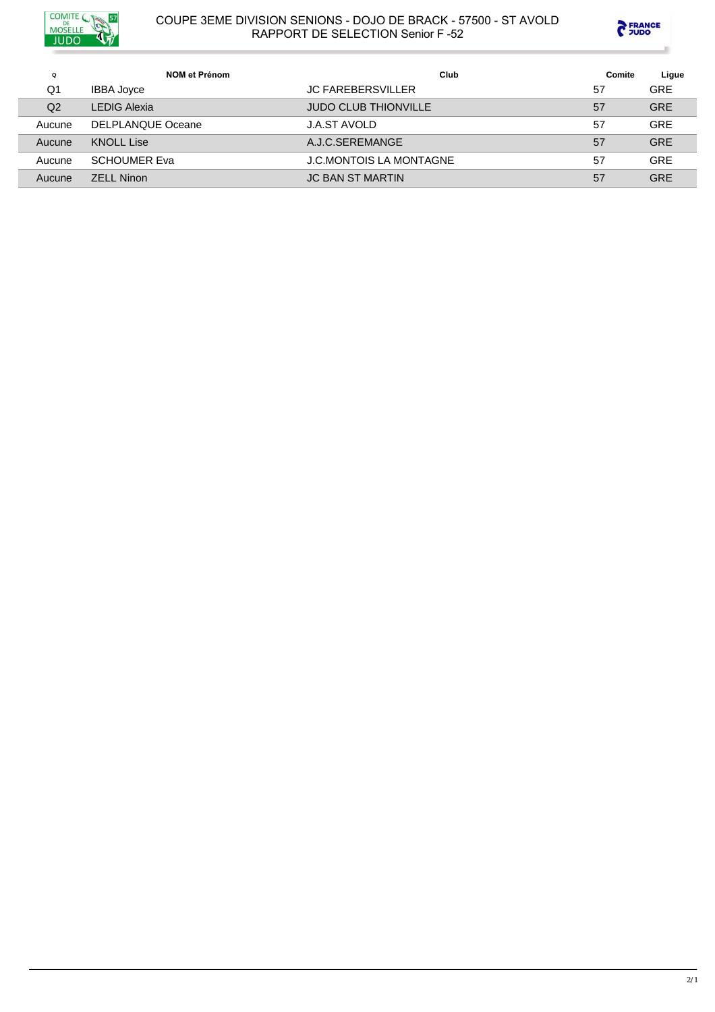



| $\Omega$       | NOM et Prénom       | Club                           | Comite | Ligue      |
|----------------|---------------------|--------------------------------|--------|------------|
| Q1             | <b>IBBA Joyce</b>   | <b>JC FAREBERSVILLER</b>       | 57     | <b>GRE</b> |
| Q <sub>2</sub> | <b>LEDIG Alexia</b> | <b>JUDO CLUB THIONVILLE</b>    | 57     | <b>GRE</b> |
| Aucune         | DELPLANQUE Oceane   | <b>J.A.ST AVOLD</b>            | 57     | <b>GRE</b> |
| Aucune         | <b>KNOLL Lise</b>   | A.J.C.SEREMANGE                | 57     | <b>GRE</b> |
| Aucune         | <b>SCHOUMER Eva</b> | <b>J.C.MONTOIS LA MONTAGNE</b> | 57     | <b>GRE</b> |
| Aucune         | <b>ZELL Ninon</b>   | <b>JC BAN ST MARTIN</b>        | 57     | <b>GRE</b> |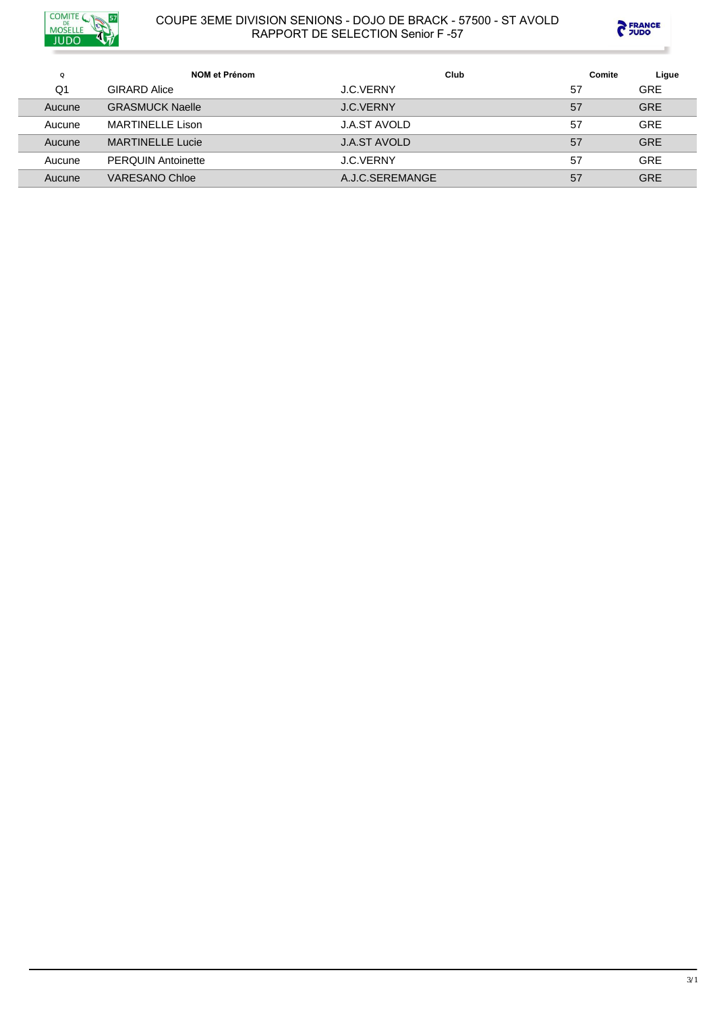



| Q              | NOM et Prénom             | Club                | Comite | Ligue      |
|----------------|---------------------------|---------------------|--------|------------|
| Q <sub>1</sub> | <b>GIRARD Alice</b>       | <b>J.C.VERNY</b>    | 57     | <b>GRE</b> |
| Aucune         | <b>GRASMUCK Naelle</b>    | J.C.VERNY           | 57     | <b>GRE</b> |
| Aucune         | MARTINELLE Lison          | J.A.ST AVOLD        | 57     | <b>GRE</b> |
| Aucune         | <b>MARTINELLE Lucie</b>   | <b>J.A.ST AVOLD</b> | 57     | <b>GRE</b> |
| Aucune         | <b>PERQUIN Antoinette</b> | J.C.VERNY           | 57     | <b>GRE</b> |
| Aucune         | VARESANO Chloe            | A.J.C.SEREMANGE     | 57     | <b>GRE</b> |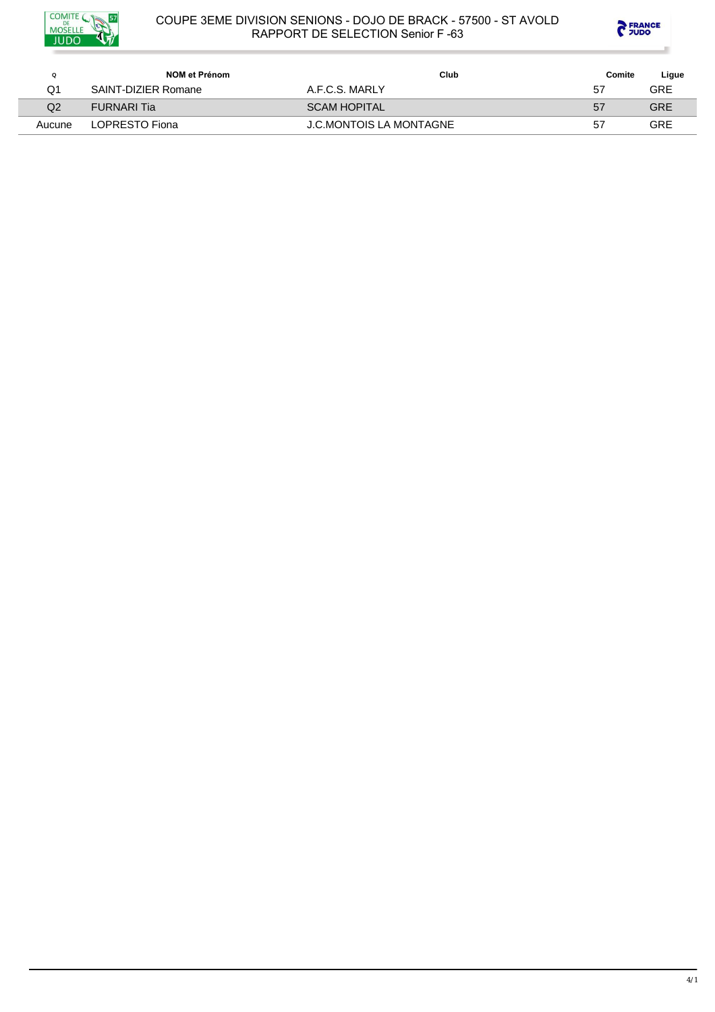



| Q      | NOM et Prénom       | Club                           | Comite | Ligue      |
|--------|---------------------|--------------------------------|--------|------------|
| Q1     | SAINT-DIZIER Romane | A.F.C.S. MARLY                 | 57     | <b>GRE</b> |
| Q2     | <b>FURNARI</b> Tia  | <b>SCAM HOPITAL</b>            | 57     | <b>GRE</b> |
| Aucune | LOPRESTO Fiona      | <b>J.C.MONTOIS LA MONTAGNE</b> | 57     | GRE        |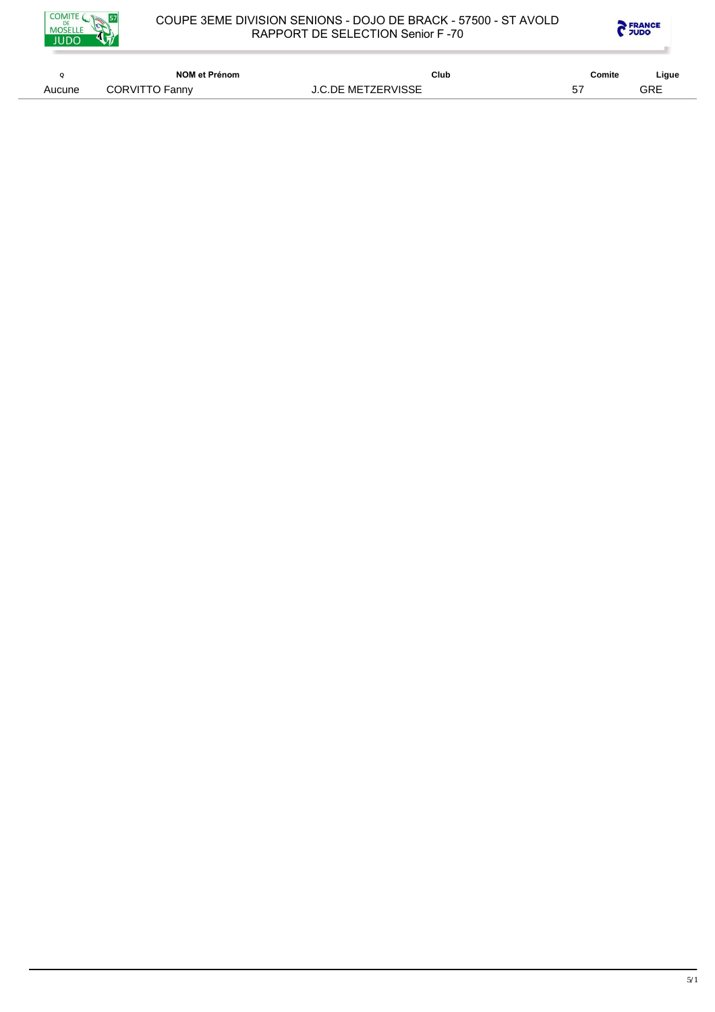



|        | NOM et Prénom  | Club                      | Comite | Ligue |
|--------|----------------|---------------------------|--------|-------|
| Aucune | CORVITTO Fanny | <b>J.C.DE METZERVISSE</b> | --     | GRE   |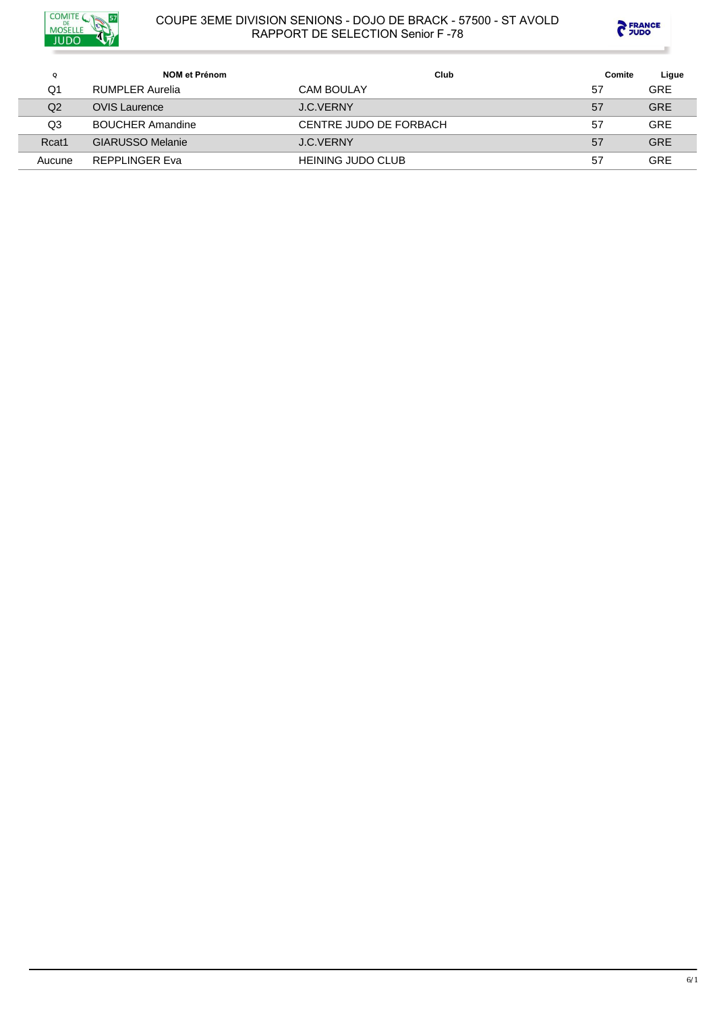



| $\Omega$ | NOM et Prénom           | Club                     | Comite | Ligue      |
|----------|-------------------------|--------------------------|--------|------------|
| O1       | RUMPLER Aurelia         | <b>CAM BOULAY</b>        | 57     | <b>GRE</b> |
| Q2       | <b>OVIS</b> Laurence    | J.C.VERNY                | 57     | <b>GRE</b> |
| Q3       | <b>BOUCHER Amandine</b> | CENTRE JUDO DE FORBACH   | 57     | GRE        |
| Rcat1    | <b>GIARUSSO Melanie</b> | J.C.VERNY                | 57     | <b>GRE</b> |
| Aucune   | REPPLINGER Eva          | <b>HEINING JUDO CLUB</b> | 57     | GRE        |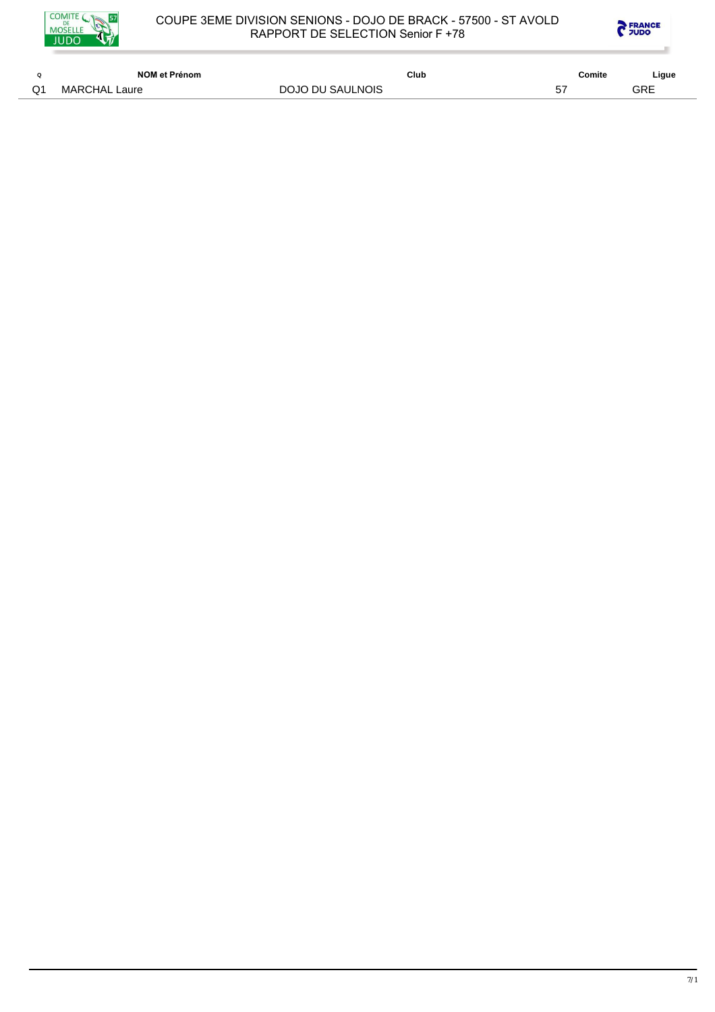



| $\Omega$ | NOM et Prénom | Club             | Comite | Ligue |
|----------|---------------|------------------|--------|-------|
| Q1       | MARCHAL Laure | DOJO DU SAULNOIS | 57     | GRE   |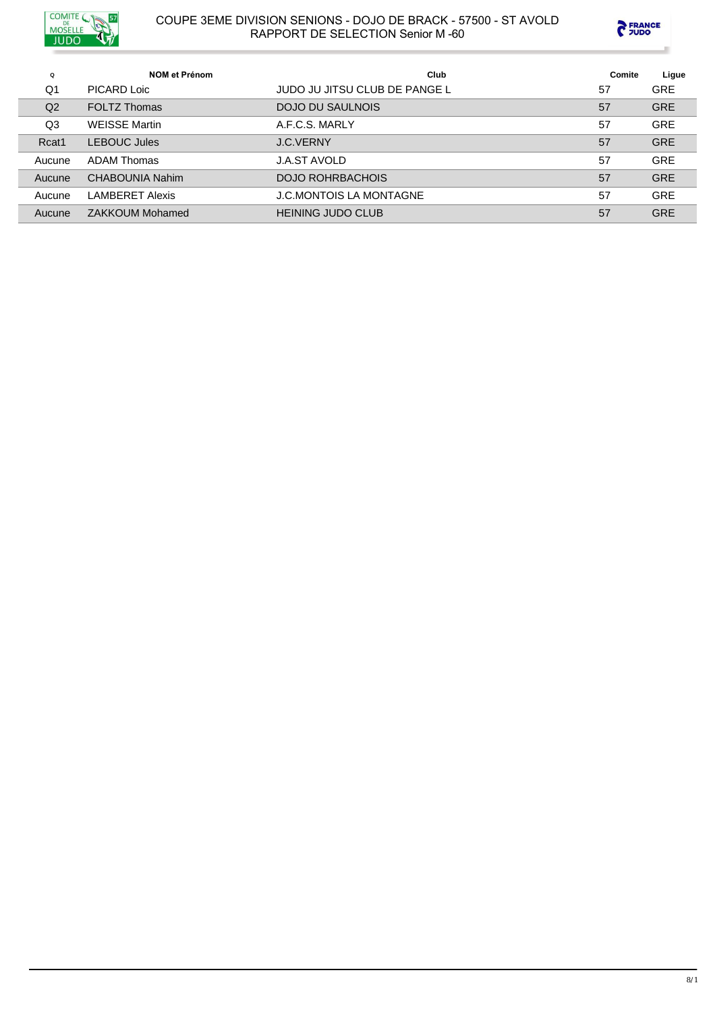



| Q      | <b>NOM et Prénom</b>   | Club                           | Comite | Ligue      |
|--------|------------------------|--------------------------------|--------|------------|
| Q1     | PICARD Loic            | JUDO JU JITSU CLUB DE PANGE L  | 57     | <b>GRE</b> |
| Q2     | <b>FOLTZ Thomas</b>    | DOJO DU SAULNOIS               | 57     | <b>GRE</b> |
| Q3     | <b>WEISSE Martin</b>   | A.F.C.S. MARLY                 | 57     | <b>GRE</b> |
| Rcat1  | <b>LEBOUC Jules</b>    | <b>J.C.VERNY</b>               | 57     | <b>GRE</b> |
| Aucune | ADAM Thomas            | <b>J.A.ST AVOLD</b>            | 57     | <b>GRE</b> |
| Aucune | CHABOUNIA Nahim        | DOJO ROHRBACHOIS               | 57     | <b>GRE</b> |
| Aucune | <b>LAMBERET Alexis</b> | <b>J.C.MONTOIS LA MONTAGNE</b> | 57     | <b>GRE</b> |
| Aucune | ZAKKOUM Mohamed        | <b>HEINING JUDO CLUB</b>       | 57     | <b>GRE</b> |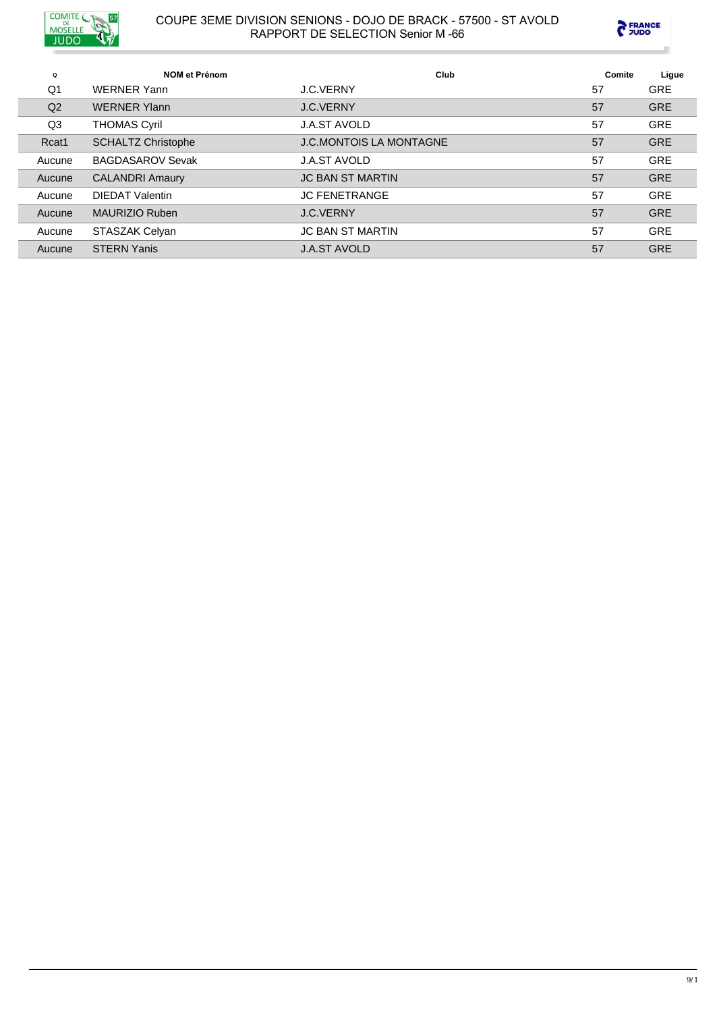



| Q              | <b>NOM et Prénom</b>      | Club                           | Comite | Ligue      |
|----------------|---------------------------|--------------------------------|--------|------------|
| Q1             | <b>WERNER Yann</b>        | J.C.VERNY                      | 57     | <b>GRE</b> |
| Q <sub>2</sub> | <b>WERNER Ylann</b>       | <b>J.C.VERNY</b>               | 57     | <b>GRE</b> |
| Q <sub>3</sub> | <b>THOMAS Cyril</b>       | <b>J.A.ST AVOLD</b>            | 57     | <b>GRE</b> |
| Rcat1          | <b>SCHALTZ Christophe</b> | <b>J.C.MONTOIS LA MONTAGNE</b> | 57     | <b>GRE</b> |
| Aucune         | <b>BAGDASAROV Sevak</b>   | <b>J.A.ST AVOLD</b>            | 57     | <b>GRE</b> |
| Aucune         | <b>CALANDRI Amaury</b>    | <b>JC BAN ST MARTIN</b>        | 57     | <b>GRE</b> |
| Aucune         | <b>DIEDAT Valentin</b>    | <b>JC FENETRANGE</b>           | 57     | <b>GRE</b> |
| Aucune         | MAURIZIO Ruben            | <b>J.C.VERNY</b>               | 57     | <b>GRE</b> |
| Aucune         | <b>STASZAK Celvan</b>     | <b>JC BAN ST MARTIN</b>        | 57     | <b>GRE</b> |
| Aucune         | <b>STERN Yanis</b>        | <b>J.A.ST AVOLD</b>            | 57     | <b>GRE</b> |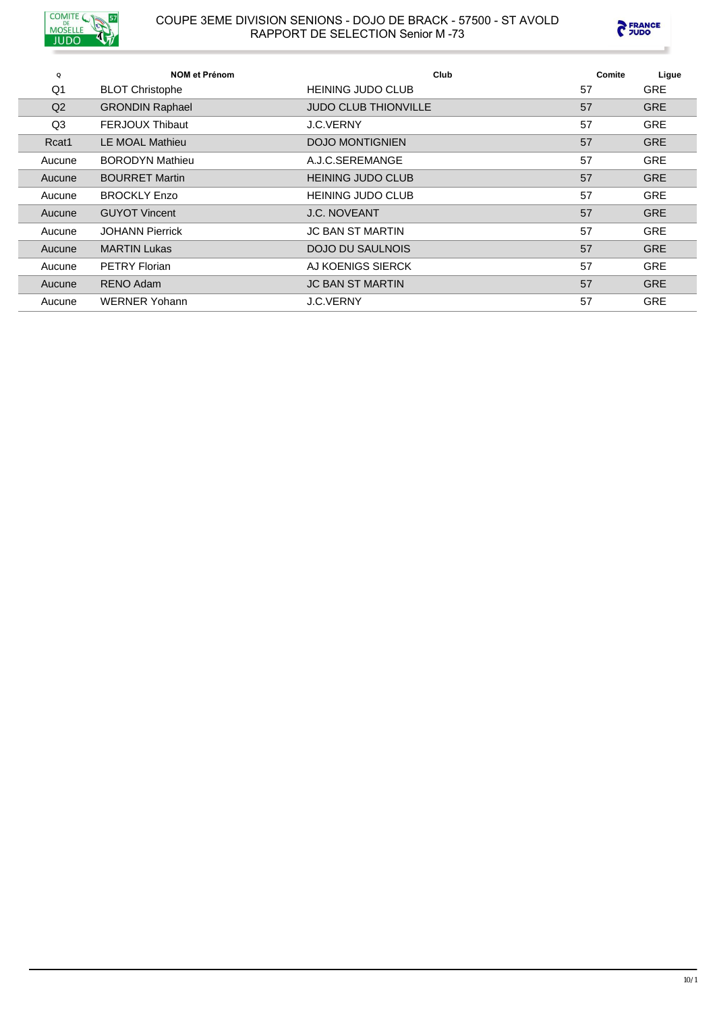



| Q              | <b>NOM et Prénom</b>   | Club                        | Comite | Ligue      |
|----------------|------------------------|-----------------------------|--------|------------|
| Q1             | <b>BLOT Christophe</b> | <b>HEINING JUDO CLUB</b>    | 57     | <b>GRE</b> |
| Q <sub>2</sub> | <b>GRONDIN Raphael</b> | <b>JUDO CLUB THIONVILLE</b> | 57     | <b>GRE</b> |
| Q3             | <b>FERJOUX Thibaut</b> | <b>J.C.VERNY</b>            | 57     | <b>GRE</b> |
| Rcat1          | <b>IF MOAL Mathieu</b> | <b>DOJO MONTIGNIEN</b>      | 57     | <b>GRE</b> |
| Aucune         | <b>BORODYN Mathieu</b> | A.J.C.SEREMANGE             | 57     | <b>GRE</b> |
| Aucune         | <b>BOURRET Martin</b>  | <b>HEINING JUDO CLUB</b>    | 57     | <b>GRE</b> |
| Aucune         | <b>BROCKLY Enzo</b>    | <b>HEINING JUDO CLUB</b>    | 57     | <b>GRE</b> |
| Aucune         | <b>GUYOT Vincent</b>   | <b>J.C. NOVEANT</b>         | 57     | <b>GRE</b> |
| Aucune         | <b>JOHANN Pierrick</b> | <b>JC BAN ST MARTIN</b>     | 57     | <b>GRE</b> |
| Aucune         | <b>MARTIN Lukas</b>    | <b>DOJO DU SAULNOIS</b>     | 57     | <b>GRE</b> |
| Aucune         | <b>PETRY Florian</b>   | AJ KOENIGS SIERCK           | 57     | <b>GRE</b> |
| Aucune         | RENO Adam              | <b>JC BAN ST MARTIN</b>     | 57     | <b>GRE</b> |
| Aucune         | <b>WERNER Yohann</b>   | <b>J.C.VERNY</b>            | 57     | <b>GRE</b> |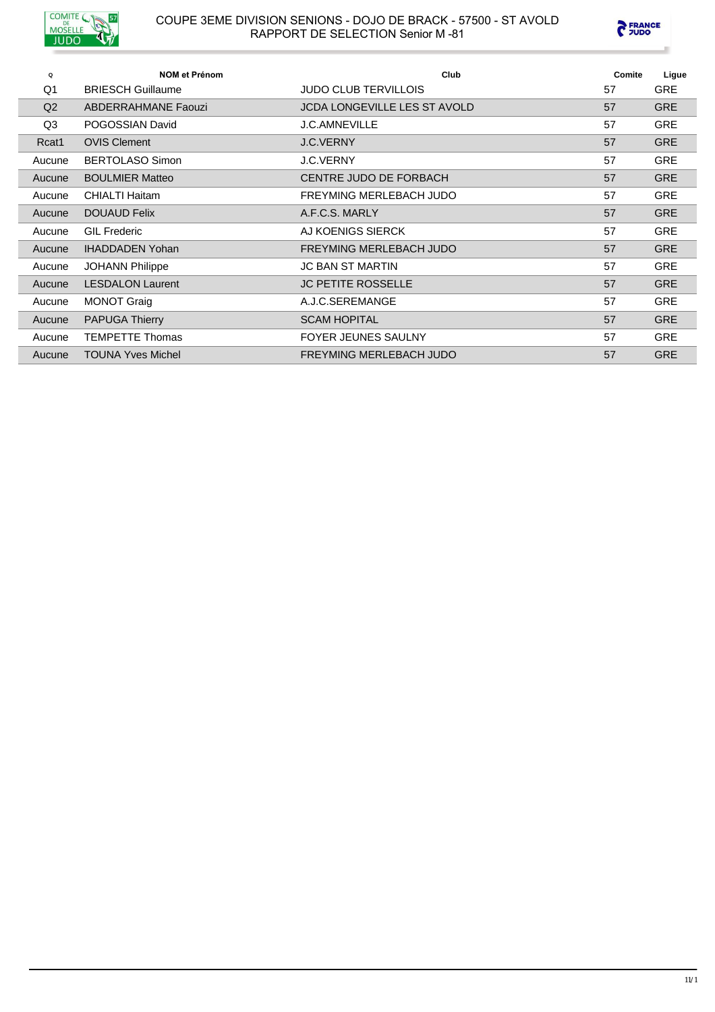



| $\mathbf Q$    | <b>NOM et Prénom</b>       | Club                                | Comite | Ligue      |
|----------------|----------------------------|-------------------------------------|--------|------------|
| Q <sub>1</sub> | <b>BRIESCH Guillaume</b>   | <b>JUDO CLUB TERVILLOIS</b>         | 57     | <b>GRE</b> |
| Q <sub>2</sub> | <b>ABDERRAHMANE Faouzi</b> | <b>JCDA LONGEVILLE LES ST AVOLD</b> | 57     | <b>GRE</b> |
| Q3             | POGOSSIAN David            | <b>J.C.AMNEVILLE</b>                | 57     | <b>GRE</b> |
| Rcat1          | <b>OVIS Clement</b>        | <b>J.C.VERNY</b>                    | 57     | <b>GRE</b> |
| Aucune         | <b>BERTOLASO Simon</b>     | <b>J.C.VERNY</b>                    | 57     | <b>GRE</b> |
| Aucune         | <b>BOULMIER Matteo</b>     | CENTRE JUDO DE FORBACH              | 57     | <b>GRE</b> |
| Aucune         | <b>CHIALTI Haitam</b>      | FREYMING MERLEBACH JUDO             | 57     | <b>GRE</b> |
| Aucune         | <b>DOUAUD Felix</b>        | A.F.C.S. MARLY                      | 57     | <b>GRE</b> |
| Aucune         | <b>GIL Frederic</b>        | AJ KOENIGS SIERCK                   | 57     | <b>GRE</b> |
| Aucune         | <b>IHADDADEN Yohan</b>     | FREYMING MERLEBACH JUDO             | 57     | <b>GRE</b> |
| Aucune         | <b>JOHANN Philippe</b>     | <b>JC BAN ST MARTIN</b>             | 57     | <b>GRE</b> |
| Aucune         | <b>LESDALON Laurent</b>    | <b>JC PETITE ROSSELLE</b>           | 57     | <b>GRE</b> |
| Aucune         | <b>MONOT Graig</b>         | A.J.C.SEREMANGE                     | 57     | <b>GRE</b> |
| Aucune         | <b>PAPUGA Thierry</b>      | <b>SCAM HOPITAL</b>                 | 57     | <b>GRE</b> |
| Aucune         | <b>TEMPETTE Thomas</b>     | <b>FOYER JEUNES SAULNY</b>          | 57     | <b>GRE</b> |
| Aucune         | <b>TOUNA Yves Michel</b>   | FREYMING MERLEBACH JUDO             | 57     | <b>GRE</b> |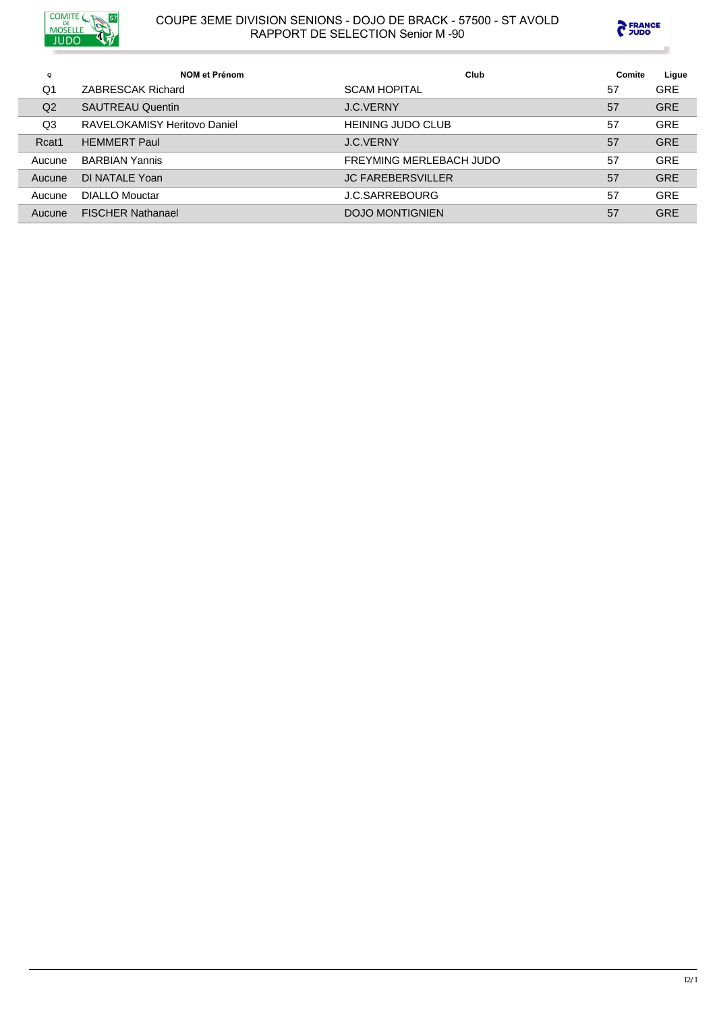



| Q              | <b>NOM et Prénom</b>         | Club                     | Comite | Ligue      |
|----------------|------------------------------|--------------------------|--------|------------|
| Q <sub>1</sub> | ZABRESCAK Richard            | <b>SCAM HOPITAL</b>      | 57     | <b>GRE</b> |
| Q <sub>2</sub> | <b>SAUTREAU Quentin</b>      | <b>J.C.VERNY</b>         | 57     | <b>GRE</b> |
| Q <sub>3</sub> | RAVELOKAMISY Heritovo Daniel | <b>HEINING JUDO CLUB</b> | 57     | <b>GRE</b> |
| Rcat1          | <b>HEMMERT Paul</b>          | <b>J.C.VERNY</b>         | 57     | <b>GRE</b> |
| Aucune         | <b>BARBIAN Yannis</b>        | FREYMING MERLEBACH JUDO  | 57     | <b>GRE</b> |
| Aucune         | DI NATALE Yoan               | <b>JC FAREBERSVILLER</b> | 57     | <b>GRE</b> |
| Aucune         | <b>DIALLO Mouctar</b>        | <b>J.C.SARREBOURG</b>    | 57     | <b>GRE</b> |
| Aucune         | <b>FISCHER Nathanael</b>     | <b>DOJO MONTIGNIEN</b>   | 57     | <b>GRE</b> |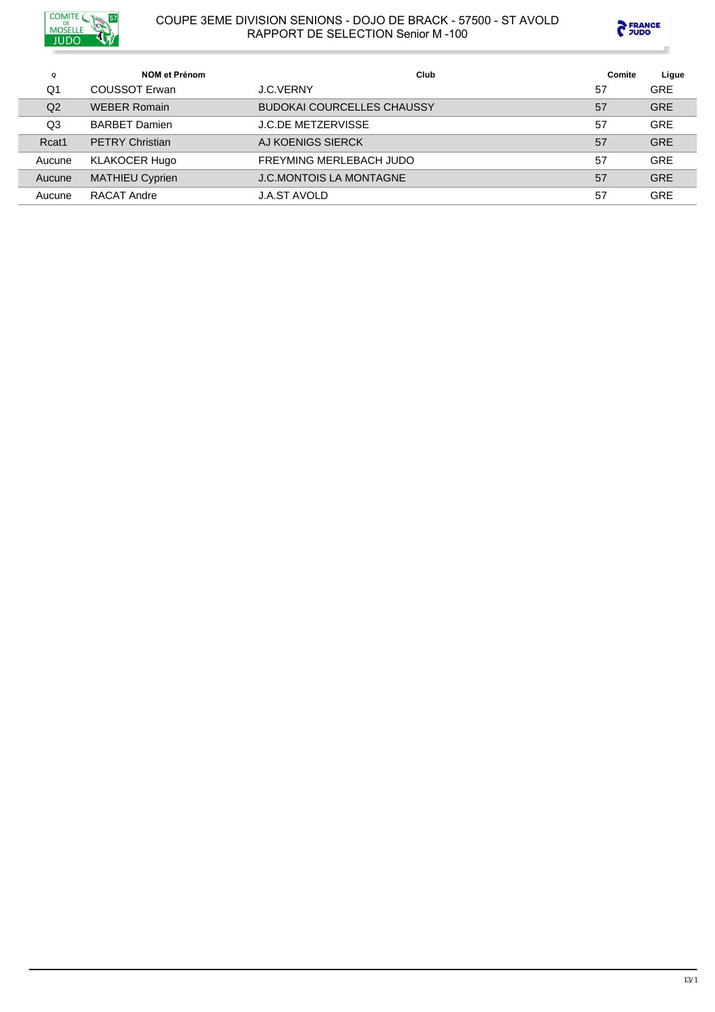



| Q      | NOM et Prénom          | Club                              | Comite | Ligue      |
|--------|------------------------|-----------------------------------|--------|------------|
| Q1     | COUSSOT Erwan          | <b>J.C.VERNY</b>                  | 57     | <b>GRE</b> |
| Q2     | <b>WEBER Romain</b>    | <b>BUDOKAI COURCELLES CHAUSSY</b> | 57     | <b>GRE</b> |
| Q3     | <b>BARBET Damien</b>   | <b>J.C.DE METZERVISSE</b>         | 57     | <b>GRE</b> |
| Rcat1  | <b>PETRY Christian</b> | AJ KOENIGS SIERCK                 | 57     | <b>GRE</b> |
| Aucune | <b>KLAKOCER Hugo</b>   | FREYMING MERLEBACH JUDO           | 57     | <b>GRE</b> |
| Aucune | <b>MATHIEU Cyprien</b> | <b>J.C.MONTOIS LA MONTAGNE</b>    | 57     | <b>GRE</b> |
| Aucune | RACAT Andre            | <b>J.A.ST AVOLD</b>               | 57     | <b>GRE</b> |